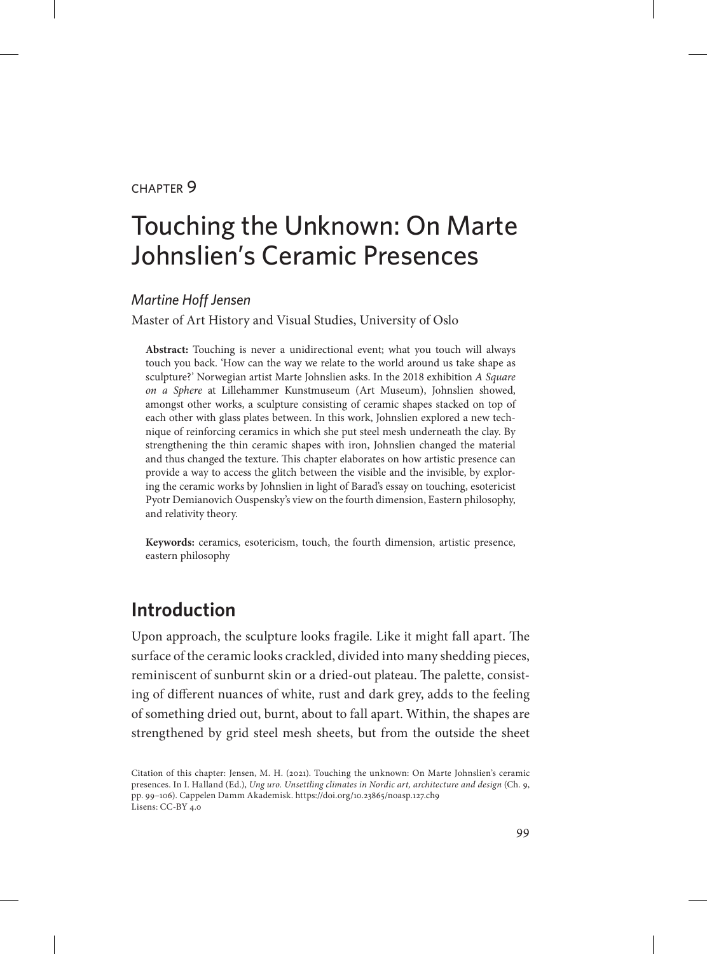#### chapter 9

# Touching the Unknown: On Marte Johnslien's Ceramic Presences

#### *Martine Hoff Jensen*

Master of Art History and Visual Studies, University of Oslo

**Abstract:** Touching is never a unidirectional event; what you touch will always touch you back. 'How can the way we relate to the world around us take shape as sculpture?' Norwegian artist Marte Johnslien asks. In the 2018 exhibition *A Square on a Sphere* at Lillehammer Kunstmuseum (Art Museum), Johnslien showed, amongst other works, a sculpture consisting of ceramic shapes stacked on top of each other with glass plates between. In this work, Johnslien explored a new technique of reinforcing ceramics in which she put steel mesh underneath the clay. By strengthening the thin ceramic shapes with iron, Johnslien changed the material and thus changed the texture. This chapter elaborates on how artistic presence can provide a way to access the glitch between the visible and the invisible, by exploring the ceramic works by Johnslien in light of Barad's essay on touching, esotericist Pyotr Demianovich Ouspensky's view on the fourth dimension, Eastern philosophy, and relativity theory.

**Keywords:** ceramics, esotericism, touch, the fourth dimension, artistic presence, eastern philosophy

#### **Introduction**

Upon approach, the sculpture looks fragile. Like it might fall apart. The surface of the ceramic looks crackled, divided into many shedding pieces, reminiscent of sunburnt skin or a dried-out plateau. The palette, consisting of different nuances of white, rust and dark grey, adds to the feeling of something dried out, burnt, about to fall apart. Within, the shapes are strengthened by grid steel mesh sheets, but from the outside the sheet

Citation of this chapter: Jensen, M. H. (2021). Touching the unknown: On Marte Johnslien's ceramic presences. In I. Halland (Ed.), *Ung uro. Unsettling climates in Nordic art, architecture and design* (Ch. 9, pp. 99–106). Cappelen Damm Akademisk. https://doi.org/10.23865/noasp.127.ch9 Lisens: CC-BY 4.0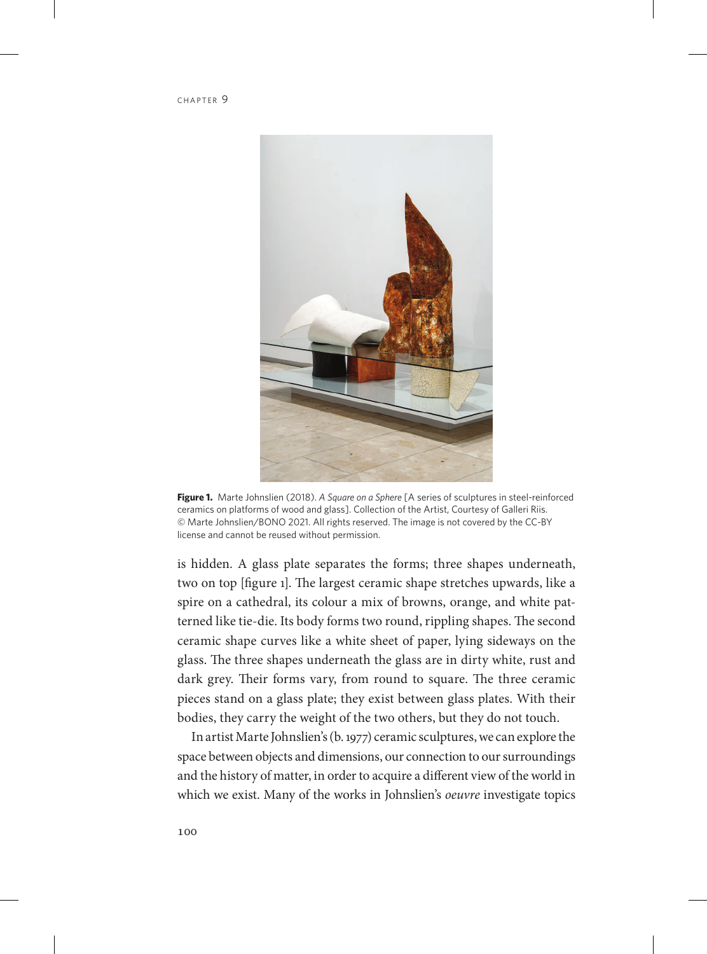

**Figure 1.** Marte Johnslien (2018). *A Square on a Sphere* [A series of sculptures in steel-reinforced ceramics on platforms of wood and glass]. Collection of the Artist, Courtesy of Galleri Riis. © Marte Johnslien/BONO 2021. All rights reserved. The image is not covered by the CC-BY license and cannot be reused without permission.

is hidden. A glass plate separates the forms; three shapes underneath, two on top [figure 1]. The largest ceramic shape stretches upwards, like a spire on a cathedral, its colour a mix of browns, orange, and white patterned like tie-die. Its body forms two round, rippling shapes. The second ceramic shape curves like a white sheet of paper, lying sideways on the glass. The three shapes underneath the glass are in dirty white, rust and dark grey. Their forms vary, from round to square. The three ceramic pieces stand on a glass plate; they exist between glass plates. With their bodies, they carry the weight of the two others, but they do not touch.

In artist Marte Johnslien's (b. 1977) ceramic sculptures, we can explore the space between objects and dimensions, our connection to our surroundings and the history of matter, in order to acquire a different view of the world in which we exist. Many of the works in Johnslien's *oeuvre* investigate topics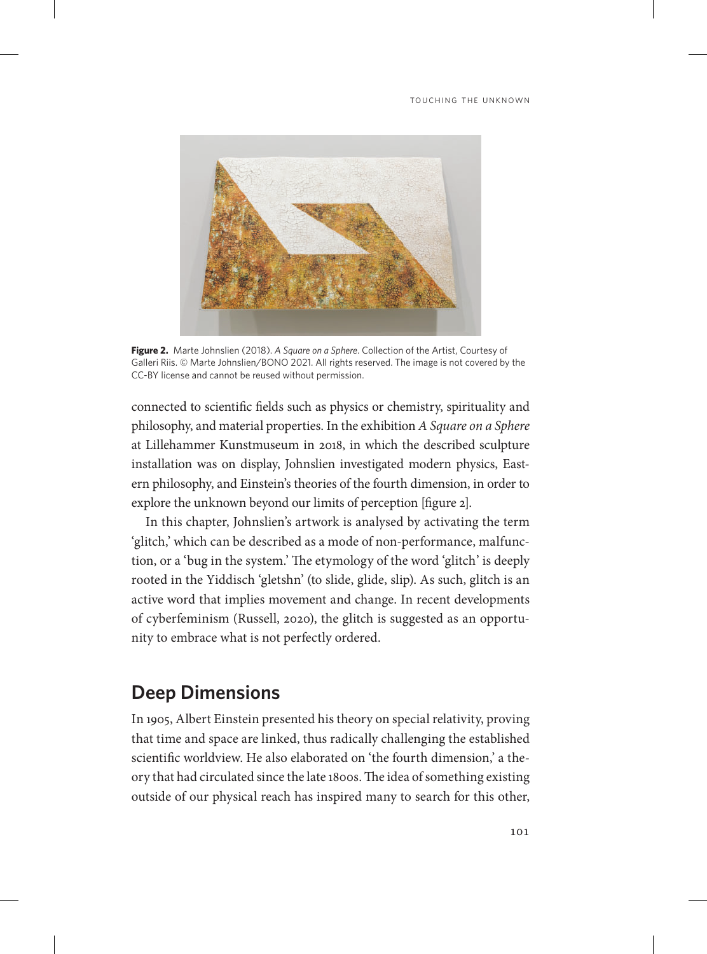

**Figure 2.** Marte Johnslien (2018). *A Square on a Sphere*. Collection of the Artist, Courtesy of Galleri Riis. © Marte Johnslien/BONO 2021. All rights reserved. The image is not covered by the CC-BY license and cannot be reused without permission.

connected to scientific fields such as physics or chemistry, spirituality and philosophy, and material properties. In the exhibition *A Square on a Sphere* at Lillehammer Kunstmuseum in 2018, in which the described sculpture installation was on display, Johnslien investigated modern physics, Eastern philosophy, and Einstein's theories of the fourth dimension, in order to explore the unknown beyond our limits of perception [figure 2].

In this chapter, Johnslien's artwork is analysed by activating the term 'glitch,' which can be described as a mode of non-performance, malfunction, or a 'bug in the system.' The etymology of the word 'glitch' is deeply rooted in the Yiddisch 'gletshn' (to slide, glide, slip). As such, glitch is an active word that implies movement and change. In recent developments of cyberfeminism (Russell, 2020), the glitch is suggested as an opportunity to embrace what is not perfectly ordered.

## **Deep Dimensions**

In 1905, Albert Einstein presented his theory on special relativity, proving that time and space are linked, thus radically challenging the established scientific worldview. He also elaborated on 'the fourth dimension,' a theory that had circulated since the late 1800s. The idea of something existing outside of our physical reach has inspired many to search for this other,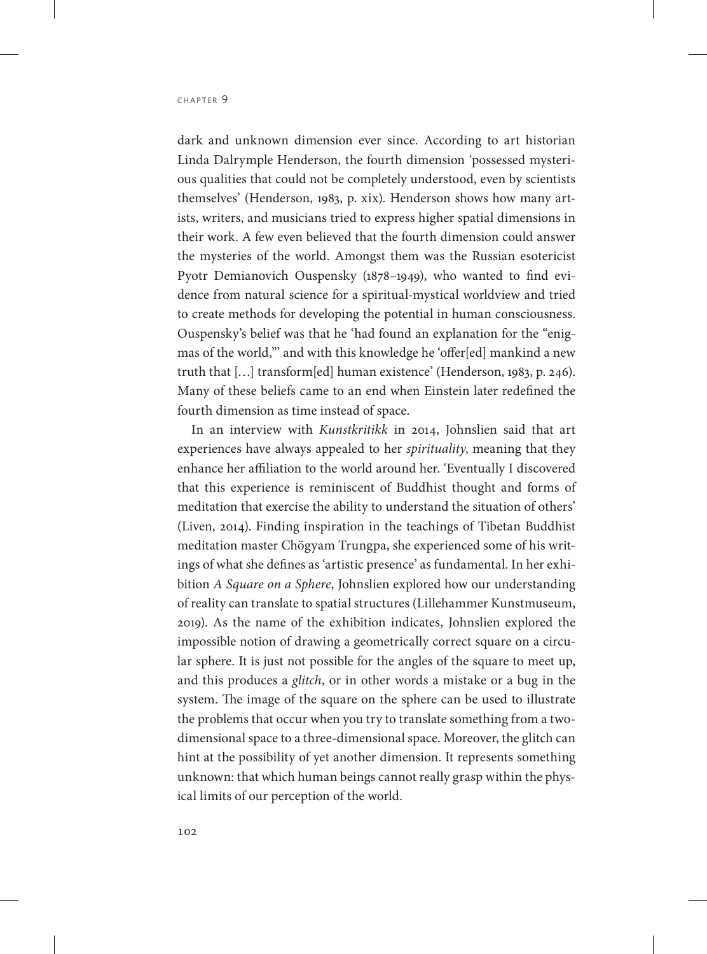dark and unknown dimension ever since. According to art historian Linda Dalrymple Henderson, the fourth dimension 'possessed mysterious qualities that could not be completely understood, even by scientists themselves' (Henderson, 1983, p. xix). Henderson shows how many artists, writers, and musicians tried to express higher spatial dimensions in their work. A few even believed that the fourth dimension could answer the mysteries of the world. Amongst them was the Russian esotericist Pyotr Demianovich Ouspensky (1878–1949), who wanted to find evidence from natural science for a spiritual-mystical worldview and tried to create methods for developing the potential in human consciousness. Ouspensky's belief was that he 'had found an explanation for the "enigmas of the world,"' and with this knowledge he 'offer[ed] mankind a new truth that […] transform[ed] human existence' (Henderson, 1983, p. 246). Many of these beliefs came to an end when Einstein later redefined the fourth dimension as time instead of space.

In an interview with *Kunstkritikk* in 2014, Johnslien said that art experiences have always appealed to her *spirituality*, meaning that they enhance her affiliation to the world around her. 'Eventually I discovered that this experience is reminiscent of Buddhist thought and forms of meditation that exercise the ability to understand the situation of others' (Liven, 2014). Finding inspiration in the teachings of Tibetan Buddhist meditation master Chögyam Trungpa, she experienced some of his writings of what she defines as 'artistic presence' as fundamental. In her exhibition *A Square on a Sphere*, Johnslien explored how our understanding of reality can translate to spatial structures (Lillehammer Kunstmuseum, 2019). As the name of the exhibition indicates, Johnslien explored the impossible notion of drawing a geometrically correct square on a circular sphere. It is just not possible for the angles of the square to meet up, and this produces a *glitch*, or in other words a mistake or a bug in the system. The image of the square on the sphere can be used to illustrate the problems that occur when you try to translate something from a twodimensional space to a three-dimensional space. Moreover, the glitch can hint at the possibility of yet another dimension. It represents something unknown: that which human beings cannot really grasp within the physical limits of our perception of the world.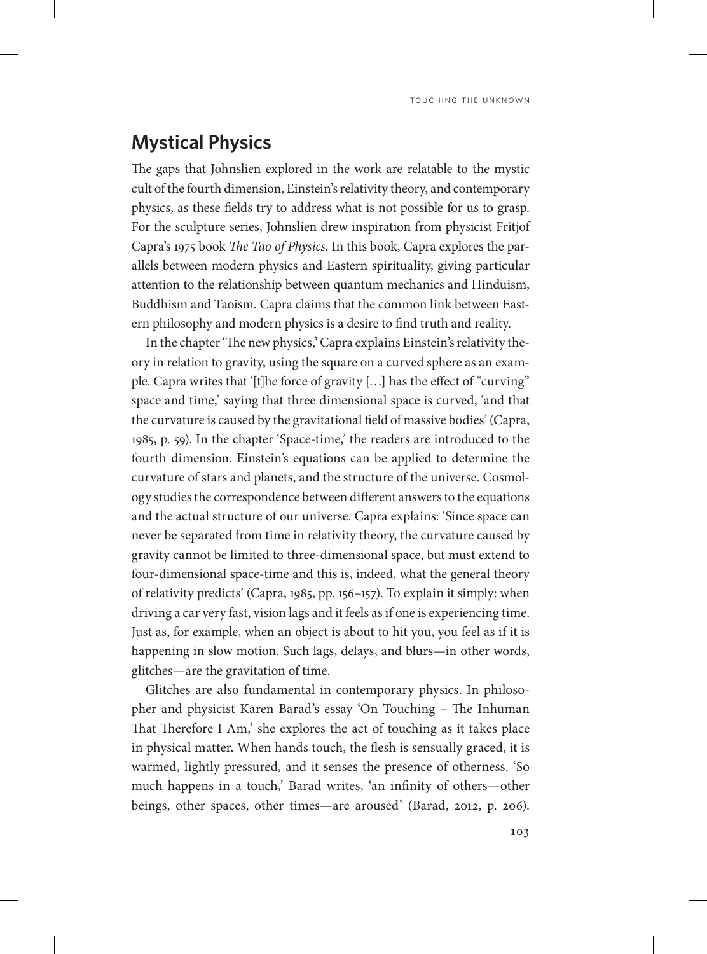## **Mystical Physics**

The gaps that Johnslien explored in the work are relatable to the mystic cult of the fourth dimension, Einstein's relativity theory, and contemporary physics, as these fields try to address what is not possible for us to grasp. For the sculpture series, Johnslien drew inspiration from physicist Fritjof Capra's 1975 book *The Tao of Physics*. In this book, Capra explores the parallels between modern physics and Eastern spirituality, giving particular attention to the relationship between quantum mechanics and Hinduism, Buddhism and Taoism. Capra claims that the common link between Eastern philosophy and modern physics is a desire to find truth and reality.

In the chapter 'The new physics,' Capra explains Einstein's relativity theory in relation to gravity, using the square on a curved sphere as an example. Capra writes that '[t]he force of gravity […] has the effect of "curving" space and time,' saying that three dimensional space is curved, 'and that the curvature is caused by the gravitational field of massive bodies' (Capra, 1985, p. 59). In the chapter 'Space-time,' the readers are introduced to the fourth dimension. Einstein's equations can be applied to determine the curvature of stars and planets, and the structure of the universe. Cosmology studies the correspondence between different answers to the equations and the actual structure of our universe. Capra explains: 'Since space can never be separated from time in relativity theory, the curvature caused by gravity cannot be limited to three-dimensional space, but must extend to four-dimensional space-time and this is, indeed, what the general theory of relativity predicts' (Capra, 1985, pp. 156–157). To explain it simply: when driving a car very fast, vision lags and it feels as if one is experiencing time. Just as, for example, when an object is about to hit you, you feel as if it is happening in slow motion. Such lags, delays, and blurs—in other words, glitches—are the gravitation of time.

Glitches are also fundamental in contemporary physics. In philosopher and physicist Karen Barad's essay 'On Touching – The Inhuman That Therefore I Am,' she explores the act of touching as it takes place in physical matter. When hands touch, the flesh is sensually graced, it is warmed, lightly pressured, and it senses the presence of otherness. 'So much happens in a touch,' Barad writes, 'an infinity of others—other beings, other spaces, other times—are aroused' (Barad, 2012, p. 206).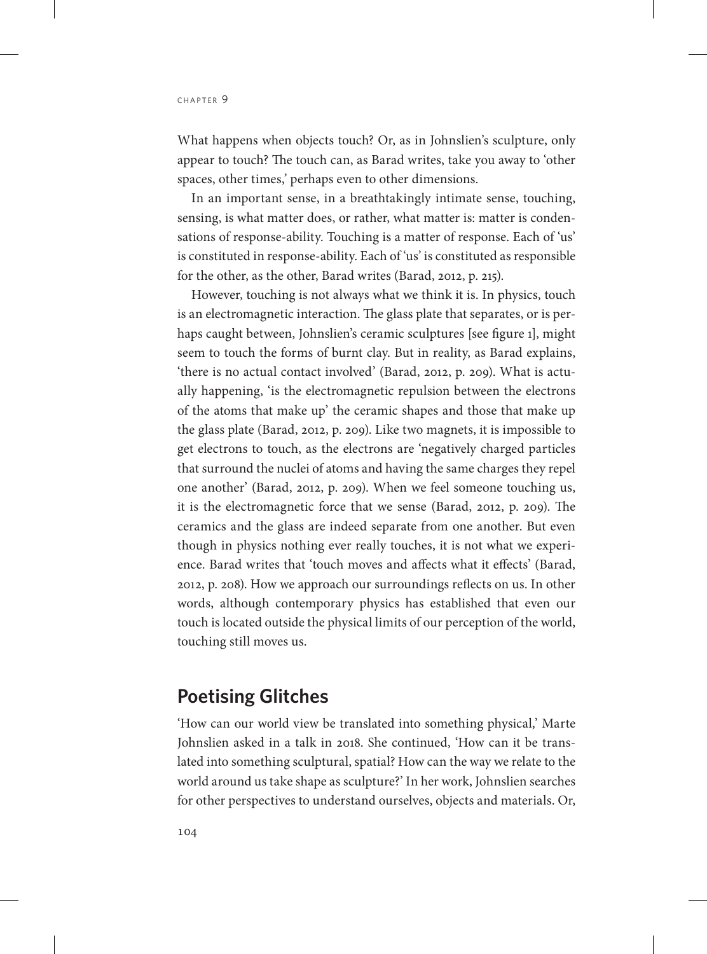What happens when objects touch? Or, as in Johnslien's sculpture, only appear to touch? The touch can, as Barad writes, take you away to 'other spaces, other times,' perhaps even to other dimensions.

In an important sense, in a breathtakingly intimate sense, touching, sensing, is what matter does, or rather, what matter is: matter is condensations of response-ability. Touching is a matter of response. Each of 'us' is constituted in response-ability. Each of 'us' is constituted as responsible for the other, as the other, Barad writes (Barad, 2012, p. 215).

However, touching is not always what we think it is. In physics, touch is an electromagnetic interaction. The glass plate that separates, or is perhaps caught between, Johnslien's ceramic sculptures [see figure 1], might seem to touch the forms of burnt clay. But in reality, as Barad explains, 'there is no actual contact involved' (Barad, 2012, p. 209). What is actually happening, 'is the electromagnetic repulsion between the electrons of the atoms that make up' the ceramic shapes and those that make up the glass plate (Barad, 2012, p. 209). Like two magnets, it is impossible to get electrons to touch, as the electrons are 'negatively charged particles that surround the nuclei of atoms and having the same charges they repel one another' (Barad, 2012, p. 209). When we feel someone touching us, it is the electromagnetic force that we sense (Barad, 2012, p. 209). The ceramics and the glass are indeed separate from one another. But even though in physics nothing ever really touches, it is not what we experience. Barad writes that 'touch moves and affects what it effects' (Barad, 2012, p. 208). How we approach our surroundings reflects on us. In other words, although contemporary physics has established that even our touch is located outside the physical limits of our perception of the world, touching still moves us.

### **Poetising Glitches**

'How can our world view be translated into something physical,' Marte Johnslien asked in a talk in 2018. She continued, 'How can it be translated into something sculptural, spatial? How can the way we relate to the world around us take shape as sculpture?' In her work, Johnslien searches for other perspectives to understand ourselves, objects and materials. Or,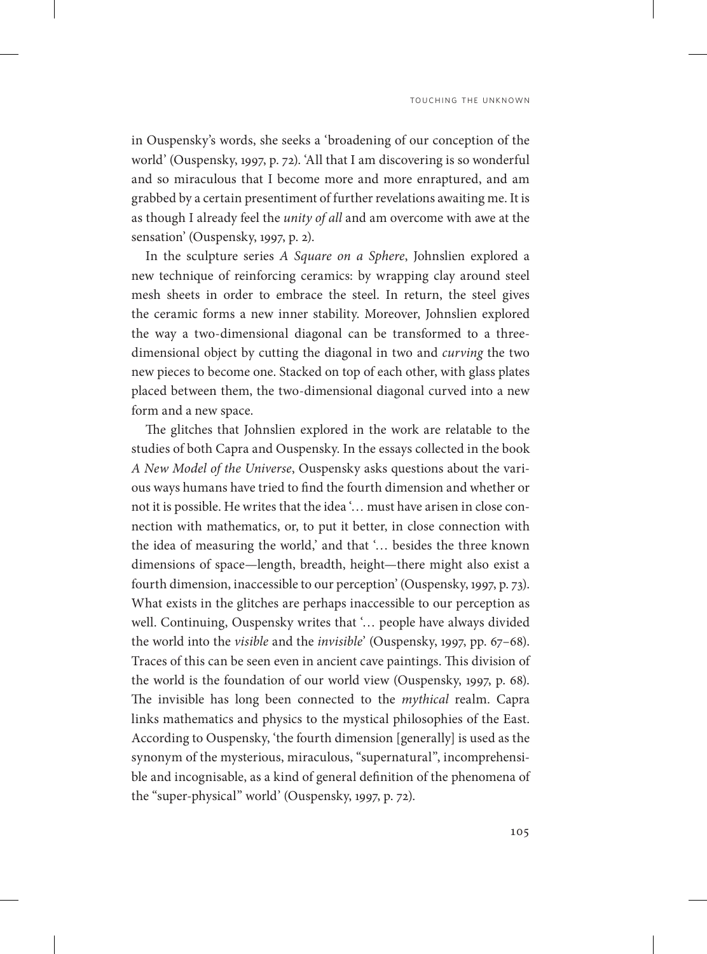TOUCHING THE UNKNOWN

in Ouspensky's words, she seeks a 'broadening of our conception of the world' (Ouspensky, 1997, p. 72). 'All that I am discovering is so wonderful and so miraculous that I become more and more enraptured, and am grabbed by a certain presentiment of further revelations awaiting me. It is as though I already feel the *unity of all* and am overcome with awe at the sensation' (Ouspensky, 1997, p. 2).

In the sculpture series *A Square on a Sphere*, Johnslien explored a new technique of reinforcing ceramics: by wrapping clay around steel mesh sheets in order to embrace the steel. In return, the steel gives the ceramic forms a new inner stability. Moreover, Johnslien explored the way a two-dimensional diagonal can be transformed to a threedimensional object by cutting the diagonal in two and *curving* the two new pieces to become one. Stacked on top of each other, with glass plates placed between them, the two-dimensional diagonal curved into a new form and a new space.

The glitches that Johnslien explored in the work are relatable to the studies of both Capra and Ouspensky. In the essays collected in the book *A New Model of the Universe*, Ouspensky asks questions about the various ways humans have tried to find the fourth dimension and whether or not it is possible. He writes that the idea '… must have arisen in close connection with mathematics, or, to put it better, in close connection with the idea of measuring the world,' and that '… besides the three known dimensions of space—length, breadth, height—there might also exist a fourth dimension, inaccessible to our perception' (Ouspensky, 1997, p. 73). What exists in the glitches are perhaps inaccessible to our perception as well. Continuing, Ouspensky writes that '… people have always divided the world into the *visible* and the *invisible*' (Ouspensky, 1997, pp. 67–68). Traces of this can be seen even in ancient cave paintings. This division of the world is the foundation of our world view (Ouspensky, 1997, p. 68). The invisible has long been connected to the *mythical* realm. Capra links mathematics and physics to the mystical philosophies of the East. According to Ouspensky, 'the fourth dimension [generally] is used as the synonym of the mysterious, miraculous, "supernatural", incomprehensible and incognisable, as a kind of general definition of the phenomena of the "super-physical" world' (Ouspensky, 1997, p. 72).